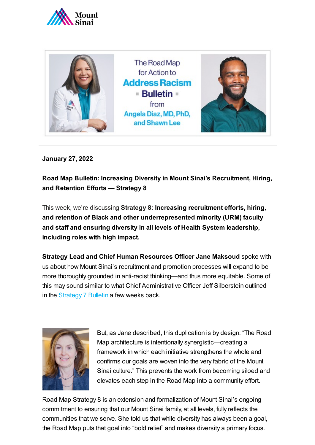



**January 27, 2022**

**Road Map Bulletin: Increasing Diversity in Mount Sinai's Recruitment, Hiring, and Retention Efforts — Strategy 8**

This week, we're discussing **Strategy 8: Increasing recruitment efforts, hiring, and retention of Black and other underrepresented minority (URM) faculty and staff and ensuring diversity in all levels of Health System leadership, including roles with high impact.**

**Strategy Lead and Chief Human Resources Officer Jane Maksoud** spoke with us about how Mount Sinai's recruitment and promotion processes will expand to be more thoroughly grounded in anti-racist thinking—and thus more equitable. Some of this may sound similar to what Chief Administrative Officer Jeff Silberstein outlined in the [Strategy](https://www.mountsinai.org/files/MSHealth/Assets/HS/About/Diversity/MSHS-Road-Map-Bulletin-Designing-Equitable-Business-Structures.pdf) 7 Bulletin a few weeks back.



But, as Jane described, this duplication is by design: "The Road Map architecture is intentionally synergistic—creating a framework in which each initiative strengthens the whole and confirms our goals are woven into the very fabric of the Mount Sinai culture." This prevents the work from becoming siloed and elevates each step in the Road Map into a community effort.

Road Map Strategy 8 is an extension and formalization of Mount Sinai's ongoing commitment to ensuring that our Mount Sinai family, at all levels, fully reflects the communities that we serve. She told us that while diversity has always been a goal, the Road Map puts that goal into "bold relief" and makes diversity a primary focus.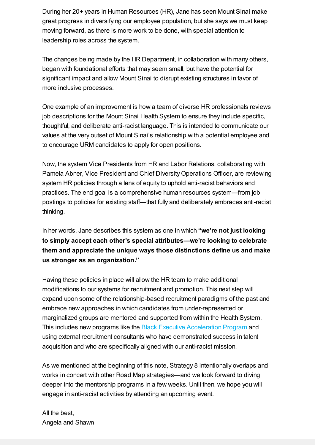During her 20+ years in Human Resources (HR), Jane has seen Mount Sinai make great progress in diversifying our employee population, but she says we must keep moving forward, as there is more work to be done, with special attention to leadership roles across the system.

The changes being made by the HR Department, in collaboration with many others, began with foundational efforts that may seem small, but have the potential for significant impact and allow Mount Sinai to disrupt existing structures in favor of more inclusive processes.

One example of an improvement is how a team of diverse HR professionals reviews job descriptions for the Mount Sinai Health System to ensure they include specific, thoughtful, and deliberate anti-racist language. This is intended to communicate our values at the very outset of Mount Sinai's relationship with a potential employee and to encourage URM candidates to apply for open positions.

Now, the system Vice Presidents from HR and Labor Relations, collaborating with Pamela Abner, Vice President and Chief Diversity Operations Officer, are reviewing system HR policies through a lens of equity to uphold anti-racist behaviors and practices. The end goal is a comprehensive human resources system—from job postings to policies for existing staff—that fully and deliberately embraces anti-racist thinking.

In her words, Jane describes this system as one in which **"we're not just looking to simply accept each other's special attributes—we're looking to celebrate them and appreciate the unique ways those distinctions define us and make us stronger as an organization."**

Having these policies in place will allow the HR team to make additional modifications to our systems for recruitment and promotion. This next step will expand upon some of the relationship-based recruitment paradigms of the past and embrace new approaches in which candidates from under-represented or marginalized groups are mentored and supported from within the Health System. This includes new programs like the [Black Executive](https://www.mountsinai.org/files/MSHealth/Assets/HS/About/Diversity/RoadMapBulletin-BlackExecutiveAccelerationProgram.pdf) Acceleration Program and using external recruitment consultants who have demonstrated success in talent acquisition and who are specifically aligned with our anti-racist mission.

As we mentioned at the beginning of this note, Strategy 8 intentionally overlaps and works in concert with other Road Map strategies—and we look forward to diving deeper into the mentorship programs in a few weeks. Until then, we hope you will engage in anti-racist activities by attending an upcoming event.

All the best, Angela and Shawn